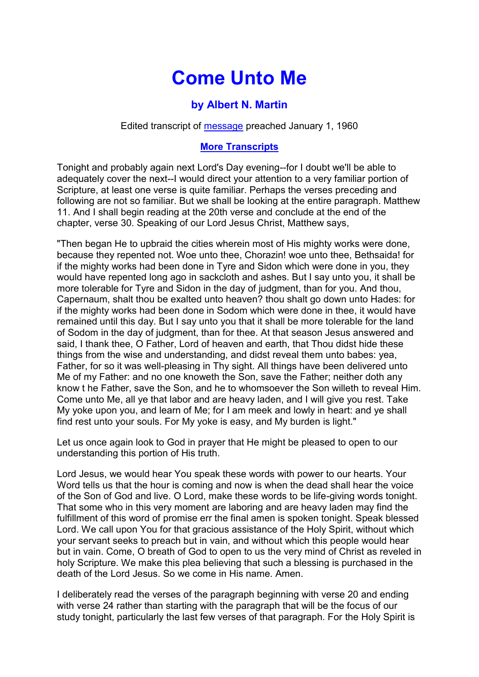## **Come Unto Me**

## **by Albert N. Martin**

Edited transcript of [message](https://www.sg-audiotreasures.org/singular/am_comeuntome.mp3) preached January 1, 1960

## **[More Transcripts](https://www.sg-audiotreasures.org/amtranscripts/am.htm)**

Tonight and probably again next Lord's Day evening--for I doubt we'll be able to adequately cover the next--I would direct your attention to a very familiar portion of Scripture, at least one verse is quite familiar. Perhaps the verses preceding and following are not so familiar. But we shall be looking at the entire paragraph. Matthew 11. And I shall begin reading at the 20th verse and conclude at the end of the chapter, verse 30. Speaking of our Lord Jesus Christ, Matthew says,

"Then began He to upbraid the cities wherein most of His mighty works were done, because they repented not. Woe unto thee, Chorazin! woe unto thee, Bethsaida! for if the mighty works had been done in Tyre and Sidon which were done in you, they would have repented long ago in sackcloth and ashes. But I say unto you, it shall be more tolerable for Tyre and Sidon in the day of judgment, than for you. And thou, Capernaum, shalt thou be exalted unto heaven? thou shalt go down unto Hades: for if the mighty works had been done in Sodom which were done in thee, it would have remained until this day. But I say unto you that it shall be more tolerable for the land of Sodom in the day of judgment, than for thee. At that season Jesus answered and said, I thank thee, O Father, Lord of heaven and earth, that Thou didst hide these things from the wise and understanding, and didst reveal them unto babes: yea, Father, for so it was well-pleasing in Thy sight. All things have been delivered unto Me of my Father: and no one knoweth the Son, save the Father; neither doth any know t he Father, save the Son, and he to whomsoever the Son willeth to reveal Him. Come unto Me, all ye that labor and are heavy laden, and I will give you rest. Take My yoke upon you, and learn of Me; for I am meek and lowly in heart: and ye shall find rest unto your souls. For My yoke is easy, and My burden is light."

Let us once again look to God in prayer that He might be pleased to open to our understanding this portion of His truth.

Lord Jesus, we would hear You speak these words with power to our hearts. Your Word tells us that the hour is coming and now is when the dead shall hear the voice of the Son of God and live. O Lord, make these words to be life-giving words tonight. That some who in this very moment are laboring and are heavy laden may find the fulfillment of this word of promise err the final amen is spoken tonight. Speak blessed Lord. We call upon You for that gracious assistance of the Holy Spirit, without which your servant seeks to preach but in vain, and without which this people would hear but in vain. Come, O breath of God to open to us the very mind of Christ as reveled in holy Scripture. We make this plea believing that such a blessing is purchased in the death of the Lord Jesus. So we come in His name. Amen.

I deliberately read the verses of the paragraph beginning with verse 20 and ending with verse 24 rather than starting with the paragraph that will be the focus of our study tonight, particularly the last few verses of that paragraph. For the Holy Spirit is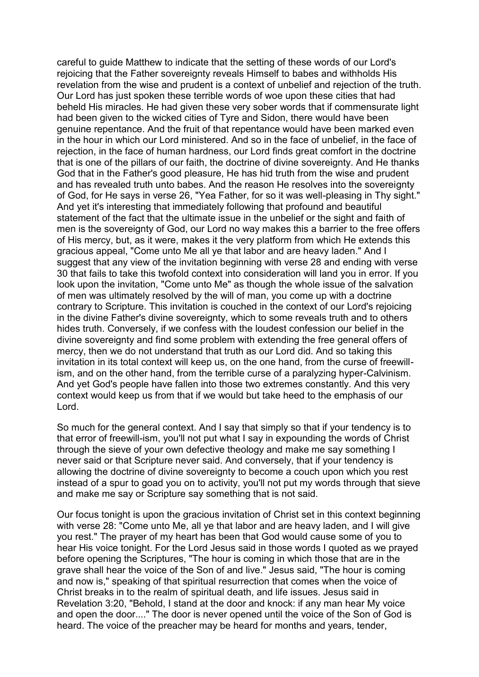careful to guide Matthew to indicate that the setting of these words of our Lord's rejoicing that the Father sovereignty reveals Himself to babes and withholds His revelation from the wise and prudent is a context of unbelief and rejection of the truth. Our Lord has just spoken these terrible words of woe upon these cities that had beheld His miracles. He had given these very sober words that if commensurate light had been given to the wicked cities of Tyre and Sidon, there would have been genuine repentance. And the fruit of that repentance would have been marked even in the hour in which our Lord ministered. And so in the face of unbelief, in the face of rejection, in the face of human hardness, our Lord finds great comfort in the doctrine that is one of the pillars of our faith, the doctrine of divine sovereignty. And He thanks God that in the Father's good pleasure, He has hid truth from the wise and prudent and has revealed truth unto babes. And the reason He resolves into the sovereignty of God, for He says in verse 26, "Yea Father, for so it was well-pleasing in Thy sight." And yet it's interesting that immediately following that profound and beautiful statement of the fact that the ultimate issue in the unbelief or the sight and faith of men is the sovereignty of God, our Lord no way makes this a barrier to the free offers of His mercy, but, as it were, makes it the very platform from which He extends this gracious appeal, "Come unto Me all ye that labor and are heavy laden." And I suggest that any view of the invitation beginning with verse 28 and ending with verse 30 that fails to take this twofold context into consideration will land you in error. If you look upon the invitation, "Come unto Me" as though the whole issue of the salvation of men was ultimately resolved by the will of man, you come up with a doctrine contrary to Scripture. This invitation is couched in the context of our Lord's rejoicing in the divine Father's divine sovereignty, which to some reveals truth and to others hides truth. Conversely, if we confess with the loudest confession our belief in the divine sovereignty and find some problem with extending the free general offers of mercy, then we do not understand that truth as our Lord did. And so taking this invitation in its total context will keep us, on the one hand, from the curse of freewillism, and on the other hand, from the terrible curse of a paralyzing hyper-Calvinism. And yet God's people have fallen into those two extremes constantly. And this very context would keep us from that if we would but take heed to the emphasis of our Lord.

So much for the general context. And I say that simply so that if your tendency is to that error of freewill-ism, you'll not put what I say in expounding the words of Christ through the sieve of your own defective theology and make me say something I never said or that Scripture never said. And conversely, that if your tendency is allowing the doctrine of divine sovereignty to become a couch upon which you rest instead of a spur to goad you on to activity, you'll not put my words through that sieve and make me say or Scripture say something that is not said.

Our focus tonight is upon the gracious invitation of Christ set in this context beginning with verse 28: "Come unto Me, all ye that labor and are heavy laden, and I will give you rest." The prayer of my heart has been that God would cause some of you to hear His voice tonight. For the Lord Jesus said in those words I quoted as we prayed before opening the Scriptures, "The hour is coming in which those that are in the grave shall hear the voice of the Son of and live." Jesus said, "The hour is coming and now is," speaking of that spiritual resurrection that comes when the voice of Christ breaks in to the realm of spiritual death, and life issues. Jesus said in Revelation 3:20, "Behold, I stand at the door and knock: if any man hear My voice and open the door...." The door is never opened until the voice of the Son of God is heard. The voice of the preacher may be heard for months and years, tender,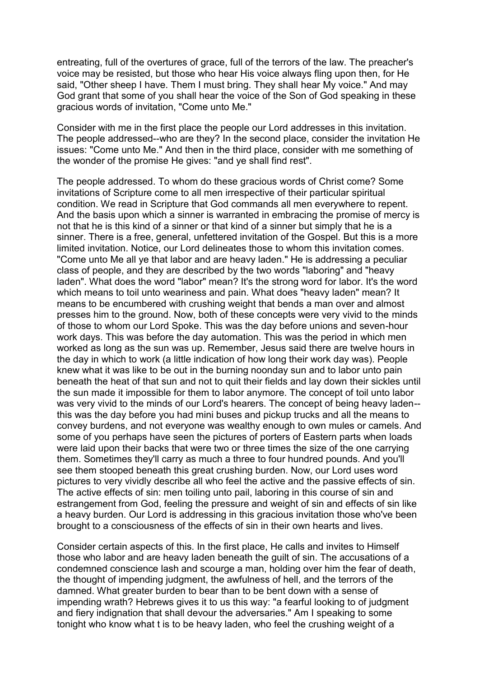entreating, full of the overtures of grace, full of the terrors of the law. The preacher's voice may be resisted, but those who hear His voice always fling upon then, for He said, "Other sheep I have. Them I must bring. They shall hear My voice." And may God grant that some of you shall hear the voice of the Son of God speaking in these gracious words of invitation, "Come unto Me."

Consider with me in the first place the people our Lord addresses in this invitation. The people addressed--who are they? In the second place, consider the invitation He issues: "Come unto Me." And then in the third place, consider with me something of the wonder of the promise He gives: "and ye shall find rest".

The people addressed. To whom do these gracious words of Christ come? Some invitations of Scripture come to all men irrespective of their particular spiritual condition. We read in Scripture that God commands all men everywhere to repent. And the basis upon which a sinner is warranted in embracing the promise of mercy is not that he is this kind of a sinner or that kind of a sinner but simply that he is a sinner. There is a free, general, unfettered invitation of the Gospel. But this is a more limited invitation. Notice, our Lord delineates those to whom this invitation comes. "Come unto Me all ye that labor and are heavy laden." He is addressing a peculiar class of people, and they are described by the two words "laboring" and "heavy laden". What does the word "labor" mean? It's the strong word for labor. It's the word which means to toil unto weariness and pain. What does "heavy laden" mean? It means to be encumbered with crushing weight that bends a man over and almost presses him to the ground. Now, both of these concepts were very vivid to the minds of those to whom our Lord Spoke. This was the day before unions and seven-hour work days. This was before the day automation. This was the period in which men worked as long as the sun was up. Remember, Jesus said there are twelve hours in the day in which to work (a little indication of how long their work day was). People knew what it was like to be out in the burning noonday sun and to labor unto pain beneath the heat of that sun and not to quit their fields and lay down their sickles until the sun made it impossible for them to labor anymore. The concept of toil unto labor was very vivid to the minds of our Lord's hearers. The concept of being heavy laden- this was the day before you had mini buses and pickup trucks and all the means to convey burdens, and not everyone was wealthy enough to own mules or camels. And some of you perhaps have seen the pictures of porters of Eastern parts when loads were laid upon their backs that were two or three times the size of the one carrying them. Sometimes they'll carry as much a three to four hundred pounds. And you'll see them stooped beneath this great crushing burden. Now, our Lord uses word pictures to very vividly describe all who feel the active and the passive effects of sin. The active effects of sin: men toiling unto pail, laboring in this course of sin and estrangement from God, feeling the pressure and weight of sin and effects of sin like a heavy burden. Our Lord is addressing in this gracious invitation those who've been brought to a consciousness of the effects of sin in their own hearts and lives.

Consider certain aspects of this. In the first place, He calls and invites to Himself those who labor and are heavy laden beneath the guilt of sin. The accusations of a condemned conscience lash and scourge a man, holding over him the fear of death, the thought of impending judgment, the awfulness of hell, and the terrors of the damned. What greater burden to bear than to be bent down with a sense of impending wrath? Hebrews gives it to us this way: "a fearful looking to of judgment and fiery indignation that shall devour the adversaries." Am I speaking to some tonight who know what t is to be heavy laden, who feel the crushing weight of a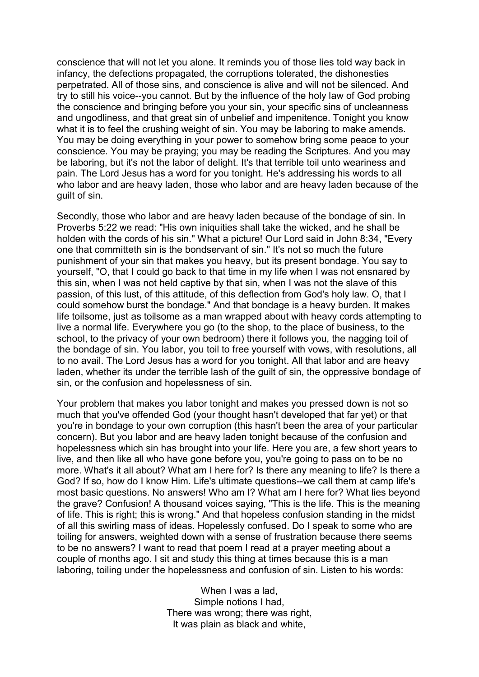conscience that will not let you alone. It reminds you of those lies told way back in infancy, the defections propagated, the corruptions tolerated, the dishonesties perpetrated. All of those sins, and conscience is alive and will not be silenced. And try to still his voice--you cannot. But by the influence of the holy law of God probing the conscience and bringing before you your sin, your specific sins of uncleanness and ungodliness, and that great sin of unbelief and impenitence. Tonight you know what it is to feel the crushing weight of sin. You may be laboring to make amends. You may be doing everything in your power to somehow bring some peace to your conscience. You may be praying; you may be reading the Scriptures. And you may be laboring, but it's not the labor of delight. It's that terrible toil unto weariness and pain. The Lord Jesus has a word for you tonight. He's addressing his words to all who labor and are heavy laden, those who labor and are heavy laden because of the guilt of sin.

Secondly, those who labor and are heavy laden because of the bondage of sin. In Proverbs 5:22 we read: "His own iniquities shall take the wicked, and he shall be holden with the cords of his sin." What a picture! Our Lord said in John 8:34, "Every one that committeth sin is the bondservant of sin." It's not so much the future punishment of your sin that makes you heavy, but its present bondage. You say to yourself, "O, that I could go back to that time in my life when I was not ensnared by this sin, when I was not held captive by that sin, when I was not the slave of this passion, of this lust, of this attitude, of this deflection from God's holy law. O, that I could somehow burst the bondage." And that bondage is a heavy burden. It makes life toilsome, just as toilsome as a man wrapped about with heavy cords attempting to live a normal life. Everywhere you go (to the shop, to the place of business, to the school, to the privacy of your own bedroom) there it follows you, the nagging toil of the bondage of sin. You labor, you toil to free yourself with vows, with resolutions, all to no avail. The Lord Jesus has a word for you tonight. All that labor and are heavy laden, whether its under the terrible lash of the guilt of sin, the oppressive bondage of sin, or the confusion and hopelessness of sin.

Your problem that makes you labor tonight and makes you pressed down is not so much that you've offended God (your thought hasn't developed that far yet) or that you're in bondage to your own corruption (this hasn't been the area of your particular concern). But you labor and are heavy laden tonight because of the confusion and hopelessness which sin has brought into your life. Here you are, a few short years to live, and then like all who have gone before you, you're going to pass on to be no more. What's it all about? What am I here for? Is there any meaning to life? Is there a God? If so, how do I know Him. Life's ultimate questions--we call them at camp life's most basic questions. No answers! Who am I? What am I here for? What lies beyond the grave? Confusion! A thousand voices saying, "This is the life. This is the meaning of life. This is right; this is wrong." And that hopeless confusion standing in the midst of all this swirling mass of ideas. Hopelessly confused. Do I speak to some who are toiling for answers, weighted down with a sense of frustration because there seems to be no answers? I want to read that poem I read at a prayer meeting about a couple of months ago. I sit and study this thing at times because this is a man laboring, toiling under the hopelessness and confusion of sin. Listen to his words:

> When I was a lad, Simple notions I had, There was wrong; there was right, It was plain as black and white,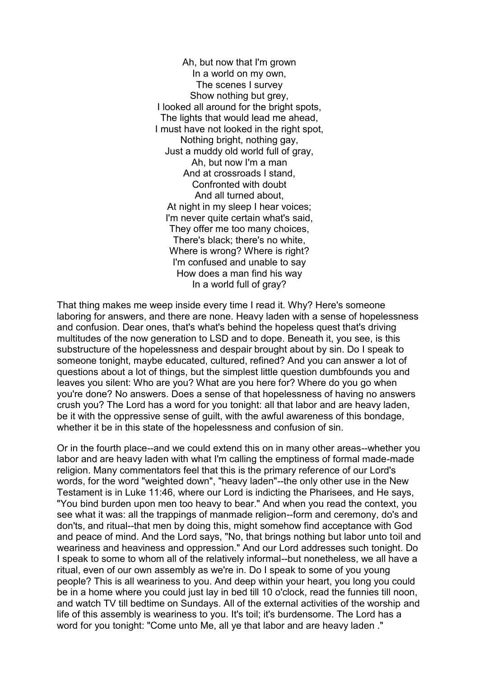Ah, but now that I'm grown In a world on my own, The scenes I survey Show nothing but grey, I looked all around for the bright spots, The lights that would lead me ahead, I must have not looked in the right spot, Nothing bright, nothing gay, Just a muddy old world full of gray, Ah, but now I'm a man And at crossroads I stand, Confronted with doubt And all turned about, At night in my sleep I hear voices; I'm never quite certain what's said, They offer me too many choices, There's black; there's no white, Where is wrong? Where is right? I'm confused and unable to say How does a man find his way In a world full of gray?

That thing makes me weep inside every time I read it. Why? Here's someone laboring for answers, and there are none. Heavy laden with a sense of hopelessness and confusion. Dear ones, that's what's behind the hopeless quest that's driving multitudes of the now generation to LSD and to dope. Beneath it, you see, is this substructure of the hopelessness and despair brought about by sin. Do I speak to someone tonight, maybe educated, cultured, refined? And you can answer a lot of questions about a lot of things, but the simplest little question dumbfounds you and leaves you silent: Who are you? What are you here for? Where do you go when you're done? No answers. Does a sense of that hopelessness of having no answers crush you? The Lord has a word for you tonight: all that labor and are heavy laden, be it with the oppressive sense of guilt, with the awful awareness of this bondage, whether it be in this state of the hopelessness and confusion of sin.

Or in the fourth place--and we could extend this on in many other areas--whether you labor and are heavy laden with what I'm calling the emptiness of formal made-made religion. Many commentators feel that this is the primary reference of our Lord's words, for the word "weighted down", "heavy laden"--the only other use in the New Testament is in Luke 11:46, where our Lord is indicting the Pharisees, and He says, "You bind burden upon men too heavy to bear." And when you read the context, you see what it was: all the trappings of manmade religion--form and ceremony, do's and don'ts, and ritual--that men by doing this, might somehow find acceptance with God and peace of mind. And the Lord says, "No, that brings nothing but labor unto toil and weariness and heaviness and oppression." And our Lord addresses such tonight. Do I speak to some to whom all of the relatively informal--but nonetheless, we all have a ritual, even of our own assembly as we're in. Do I speak to some of you young people? This is all weariness to you. And deep within your heart, you long you could be in a home where you could just lay in bed till 10 o'clock, read the funnies till noon, and watch TV till bedtime on Sundays. All of the external activities of the worship and life of this assembly is weariness to you. It's toil; it's burdensome. The Lord has a word for you tonight: "Come unto Me, all ye that labor and are heavy laden ."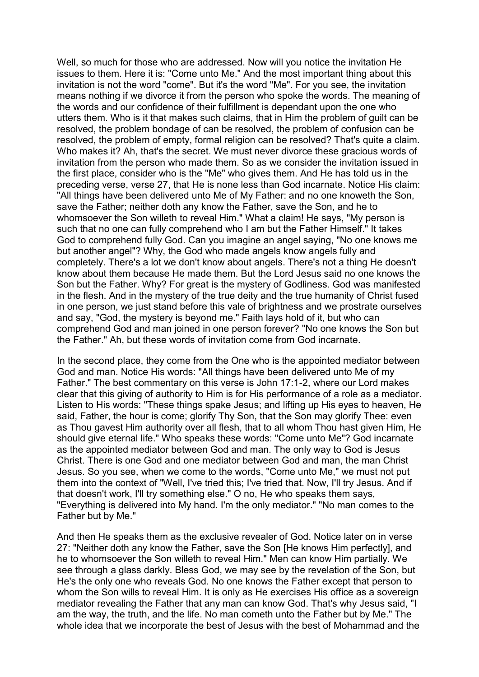Well, so much for those who are addressed. Now will you notice the invitation He issues to them. Here it is: "Come unto Me." And the most important thing about this invitation is not the word "come". But it's the word "Me". For you see, the invitation means nothing if we divorce it from the person who spoke the words. The meaning of the words and our confidence of their fulfillment is dependant upon the one who utters them. Who is it that makes such claims, that in Him the problem of guilt can be resolved, the problem bondage of can be resolved, the problem of confusion can be resolved, the problem of empty, formal religion can be resolved? That's quite a claim. Who makes it? Ah, that's the secret. We must never divorce these gracious words of invitation from the person who made them. So as we consider the invitation issued in the first place, consider who is the "Me" who gives them. And He has told us in the preceding verse, verse 27, that He is none less than God incarnate. Notice His claim: "All things have been delivered unto Me of My Father: and no one knoweth the Son, save the Father; neither doth any know the Father, save the Son, and he to whomsoever the Son willeth to reveal Him." What a claim! He says, "My person is such that no one can fully comprehend who I am but the Father Himself." It takes God to comprehend fully God. Can you imagine an angel saying, "No one knows me but another angel"? Why, the God who made angels know angels fully and completely. There's a lot we don't know about angels. There's not a thing He doesn't know about them because He made them. But the Lord Jesus said no one knows the Son but the Father. Why? For great is the mystery of Godliness. God was manifested in the flesh. And in the mystery of the true deity and the true humanity of Christ fused in one person, we just stand before this vale of brightness and we prostrate ourselves and say, "God, the mystery is beyond me." Faith lays hold of it, but who can comprehend God and man joined in one person forever? "No one knows the Son but the Father." Ah, but these words of invitation come from God incarnate.

In the second place, they come from the One who is the appointed mediator between God and man. Notice His words: "All things have been delivered unto Me of my Father." The best commentary on this verse is John 17:1-2, where our Lord makes clear that this giving of authority to Him is for His performance of a role as a mediator. Listen to His words: "These things spake Jesus; and lifting up His eyes to heaven, He said, Father, the hour is come; glorify Thy Son, that the Son may glorify Thee: even as Thou gavest Him authority over all flesh, that to all whom Thou hast given Him, He should give eternal life." Who speaks these words: "Come unto Me"? God incarnate as the appointed mediator between God and man. The only way to God is Jesus Christ. There is one God and one mediator between God and man, the man Christ Jesus. So you see, when we come to the words, "Come unto Me," we must not put them into the context of "Well, I've tried this; I've tried that. Now, I'll try Jesus. And if that doesn't work, I'll try something else." O no, He who speaks them says, "Everything is delivered into My hand. I'm the only mediator." "No man comes to the Father but by Me."

And then He speaks them as the exclusive revealer of God. Notice later on in verse 27: "Neither doth any know the Father, save the Son [He knows Him perfectly], and he to whomsoever the Son willeth to reveal Him." Men can know Him partially. We see through a glass darkly. Bless God, we may see by the revelation of the Son, but He's the only one who reveals God. No one knows the Father except that person to whom the Son wills to reveal Him. It is only as He exercises His office as a sovereign mediator revealing the Father that any man can know God. That's why Jesus said, "I am the way, the truth, and the life. No man cometh unto the Father but by Me." The whole idea that we incorporate the best of Jesus with the best of Mohammad and the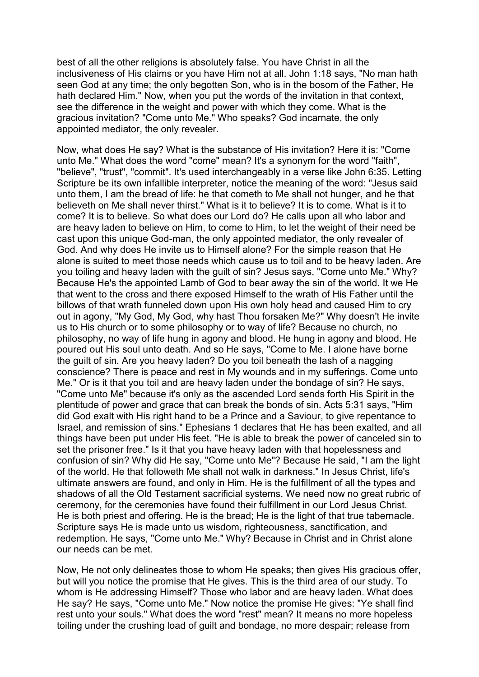best of all the other religions is absolutely false. You have Christ in all the inclusiveness of His claims or you have Him not at all. John 1:18 says, "No man hath seen God at any time; the only begotten Son, who is in the bosom of the Father, He hath declared Him." Now, when you put the words of the invitation in that context, see the difference in the weight and power with which they come. What is the gracious invitation? "Come unto Me." Who speaks? God incarnate, the only appointed mediator, the only revealer.

Now, what does He say? What is the substance of His invitation? Here it is: "Come unto Me." What does the word "come" mean? It's a synonym for the word "faith", "believe", "trust", "commit". It's used interchangeably in a verse like John 6:35. Letting Scripture be its own infallible interpreter, notice the meaning of the word: "Jesus said unto them, I am the bread of life: he that cometh to Me shall not hunger, and he that believeth on Me shall never thirst." What is it to believe? It is to come. What is it to come? It is to believe. So what does our Lord do? He calls upon all who labor and are heavy laden to believe on Him, to come to Him, to let the weight of their need be cast upon this unique God-man, the only appointed mediator, the only revealer of God. And why does He invite us to Himself alone? For the simple reason that He alone is suited to meet those needs which cause us to toil and to be heavy laden. Are you toiling and heavy laden with the guilt of sin? Jesus says, "Come unto Me." Why? Because He's the appointed Lamb of God to bear away the sin of the world. It we He that went to the cross and there exposed Himself to the wrath of His Father until the billows of that wrath funneled down upon His own holy head and caused Him to cry out in agony, "My God, My God, why hast Thou forsaken Me?" Why doesn't He invite us to His church or to some philosophy or to way of life? Because no church, no philosophy, no way of life hung in agony and blood. He hung in agony and blood. He poured out His soul unto death. And so He says, "Come to Me. I alone have borne the guilt of sin. Are you heavy laden? Do you toil beneath the lash of a nagging conscience? There is peace and rest in My wounds and in my sufferings. Come unto Me." Or is it that you toil and are heavy laden under the bondage of sin? He says, "Come unto Me" because it's only as the ascended Lord sends forth His Spirit in the plentitude of power and grace that can break the bonds of sin. Acts 5:31 says, "Him did God exalt with His right hand to be a Prince and a Saviour, to give repentance to Israel, and remission of sins." Ephesians 1 declares that He has been exalted, and all things have been put under His feet. "He is able to break the power of canceled sin to set the prisoner free." Is it that you have heavy laden with that hopelessness and confusion of sin? Why did He say, "Come unto Me"? Because He said, "I am the light of the world. He that followeth Me shall not walk in darkness." In Jesus Christ, life's ultimate answers are found, and only in Him. He is the fulfillment of all the types and shadows of all the Old Testament sacrificial systems. We need now no great rubric of ceremony, for the ceremonies have found their fulfillment in our Lord Jesus Christ. He is both priest and offering. He is the bread; He is the light of that true tabernacle. Scripture says He is made unto us wisdom, righteousness, sanctification, and redemption. He says, "Come unto Me." Why? Because in Christ and in Christ alone our needs can be met.

Now, He not only delineates those to whom He speaks; then gives His gracious offer, but will you notice the promise that He gives. This is the third area of our study. To whom is He addressing Himself? Those who labor and are heavy laden. What does He say? He says, "Come unto Me." Now notice the promise He gives: "Ye shall find rest unto your souls." What does the word "rest" mean? It means no more hopeless toiling under the crushing load of guilt and bondage, no more despair; release from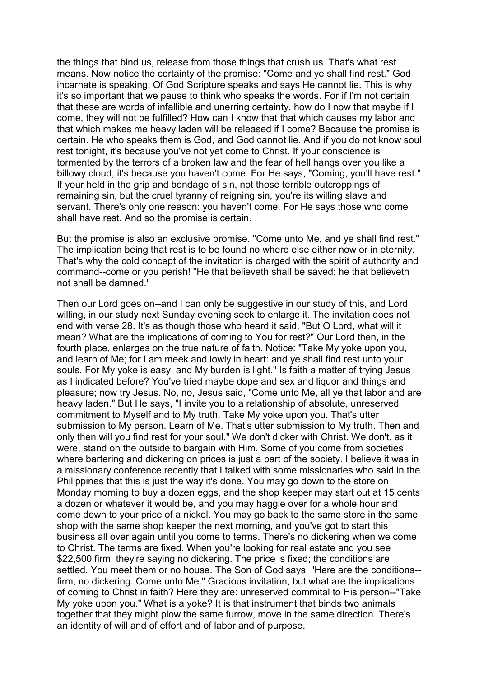the things that bind us, release from those things that crush us. That's what rest means. Now notice the certainty of the promise: "Come and ye shall find rest." God incarnate is speaking. Of God Scripture speaks and says He cannot lie. This is why it's so important that we pause to think who speaks the words. For if I'm not certain that these are words of infallible and unerring certainty, how do I now that maybe if I come, they will not be fulfilled? How can I know that that which causes my labor and that which makes me heavy laden will be released if I come? Because the promise is certain. He who speaks them is God, and God cannot lie. And if you do not know soul rest tonight, it's because you've not yet come to Christ. If your conscience is tormented by the terrors of a broken law and the fear of hell hangs over you like a billowy cloud, it's because you haven't come. For He says, "Coming, you'll have rest." If your held in the grip and bondage of sin, not those terrible outcroppings of remaining sin, but the cruel tyranny of reigning sin, you're its willing slave and servant. There's only one reason: you haven't come. For He says those who come shall have rest. And so the promise is certain.

But the promise is also an exclusive promise. "Come unto Me, and ye shall find rest." The implication being that rest is to be found no where else either now or in eternity. That's why the cold concept of the invitation is charged with the spirit of authority and command--come or you perish! "He that believeth shall be saved; he that believeth not shall be damned."

Then our Lord goes on--and I can only be suggestive in our study of this, and Lord willing, in our study next Sunday evening seek to enlarge it. The invitation does not end with verse 28. It's as though those who heard it said, "But O Lord, what will it mean? What are the implications of coming to You for rest?" Our Lord then, in the fourth place, enlarges on the true nature of faith. Notice: "Take My yoke upon you, and learn of Me; for I am meek and lowly in heart: and ye shall find rest unto your souls. For My yoke is easy, and My burden is light." Is faith a matter of trying Jesus as I indicated before? You've tried maybe dope and sex and liquor and things and pleasure; now try Jesus. No, no, Jesus said, "Come unto Me, all ye that labor and are heavy laden." But He says, "I invite you to a relationship of absolute, unreserved commitment to Myself and to My truth. Take My yoke upon you. That's utter submission to My person. Learn of Me. That's utter submission to My truth. Then and only then will you find rest for your soul." We don't dicker with Christ. We don't, as it were, stand on the outside to bargain with Him. Some of you come from societies where bartering and dickering on prices is just a part of the society. I believe it was in a missionary conference recently that I talked with some missionaries who said in the Philippines that this is just the way it's done. You may go down to the store on Monday morning to buy a dozen eggs, and the shop keeper may start out at 15 cents a dozen or whatever it would be, and you may haggle over for a whole hour and come down to your price of a nickel. You may go back to the same store in the same shop with the same shop keeper the next morning, and you've got to start this business all over again until you come to terms. There's no dickering when we come to Christ. The terms are fixed. When you're looking for real estate and you see \$22,500 firm, they're saying no dickering. The price is fixed; the conditions are settled. You meet them or no house. The Son of God says, "Here are the conditions- firm, no dickering. Come unto Me." Gracious invitation, but what are the implications of coming to Christ in faith? Here they are: unreserved commital to His person--"Take My yoke upon you." What is a yoke? It is that instrument that binds two animals together that they might plow the same furrow, move in the same direction. There's an identity of will and of effort and of labor and of purpose.